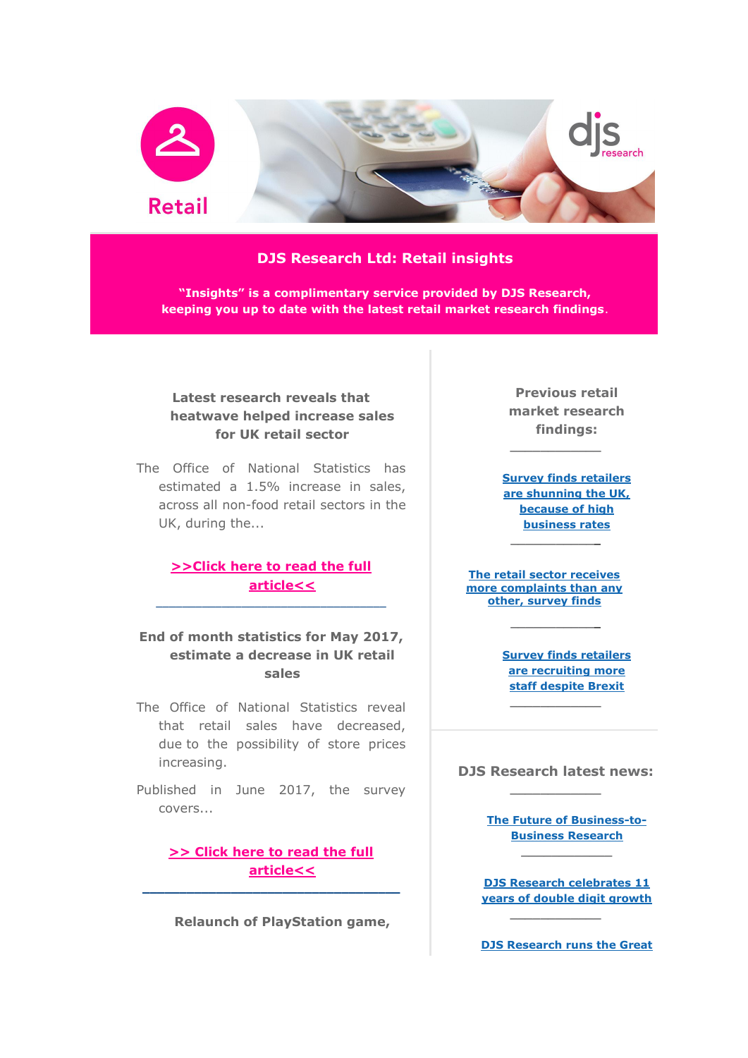

## **DJS Research Ltd: Retail insights**

**"Insights" is a complimentary service provided by DJS Research, keeping you up to date with the latest retail market research findings**.

# **Latest research reveals that heatwave helped increase sales for UK retail sector**

The Office of National Statistics has estimated a 1.5% increase in sales, across all non-food retail sectors in the UK, during the...

## **[>>Click here to read the full](http://www.djsresearch.co.uk/RetailMarketResearchInsightsAndFindings/article/Latest-research-reveals-that-heatwave-helped-increase-sales-for-UK-retail-sector-03748)  [article<<](http://www.djsresearch.co.uk/RetailMarketResearchInsightsAndFindings/article/Latest-research-reveals-that-heatwave-helped-increase-sales-for-UK-retail-sector-03748)** \_\_\_\_\_\_\_\_\_\_\_\_\_\_\_\_\_\_\_\_\_\_\_\_\_\_\_\_\_\_\_\_\_\_\_

## **End of month statistics for May 2017, estimate a decrease in UK retail sales**

- The Office of National Statistics reveal that retail sales have decreased, due to the possibility of store prices increasing.
- Published in June 2017, the survey covers...

## **[>> Click here to read the full](http://www.djsresearch.co.uk/RetailMarketResearchInsightsAndFindings/article/End-of-month-statistics-for-May-2017-estimate-a-decrease-in-UK-retail-sales-03749)  [article<<](http://www.djsresearch.co.uk/RetailMarketResearchInsightsAndFindings/article/End-of-month-statistics-for-May-2017-estimate-a-decrease-in-UK-retail-sales-03749)**

**\_\_\_\_\_\_\_\_\_\_\_\_\_\_\_\_\_\_\_\_\_\_\_\_\_\_\_\_\_\_\_\_\_\_\_**

**Relaunch of PlayStation game,** 

**Previous retail market research findings:**

**\_\_\_\_\_\_\_\_\_\_\_\_**

**[Survey finds retailers](http://www.djsresearch.co.uk/RetailMarketResearchInsightsAndFindings/article/Survey-finds-retailers-are-shunning-the-UK-because-of-high-business-rates-03460)  [are shunning the UK,](http://www.djsresearch.co.uk/RetailMarketResearchInsightsAndFindings/article/Survey-finds-retailers-are-shunning-the-UK-because-of-high-business-rates-03460)  because of high [business rates](http://www.djsresearch.co.uk/RetailMarketResearchInsightsAndFindings/article/Survey-finds-retailers-are-shunning-the-UK-because-of-high-business-rates-03460) \_\_\_\_\_\_\_\_\_\_\_\_**

**[The retail sector receives](http://www.djsresearch.co.uk/RetailMarketResearchInsightsAndFindings/article/The-retail-sector-receives-more-complaints-than-any-other-survey-finds-03517)  [more complaints than any](http://www.djsresearch.co.uk/RetailMarketResearchInsightsAndFindings/article/The-retail-sector-receives-more-complaints-than-any-other-survey-finds-03517)  [other, survey finds](http://www.djsresearch.co.uk/RetailMarketResearchInsightsAndFindings/article/The-retail-sector-receives-more-complaints-than-any-other-survey-finds-03517)**

**\_\_\_\_\_\_\_\_\_\_\_\_**

**[Survey finds retailers](http://www.djsresearch.co.uk/RetailMarketResearchInsightsAndFindings/article/Survey-finds-retailers-are-recruiting-more-staff-despite-Brexit-03605)  [are recruiting more](http://www.djsresearch.co.uk/RetailMarketResearchInsightsAndFindings/article/Survey-finds-retailers-are-recruiting-more-staff-despite-Brexit-03605)  [staff despite Brexit](http://www.djsresearch.co.uk/RetailMarketResearchInsightsAndFindings/article/Survey-finds-retailers-are-recruiting-more-staff-despite-Brexit-03605)**

#### **DJS Research latest news: \_\_\_\_\_\_\_\_\_\_\_\_**

**\_\_\_\_\_\_\_\_\_\_\_\_**

**[The Future of Business-to-](http://www.djsresearch.co.uk/news/article/The-Future-of-Business-to-Business-Research)[Business Research](http://www.djsresearch.co.uk/news/article/The-Future-of-Business-to-Business-Research)**

**[DJS Research celebrates 11](http://www.djsresearch.co.uk/news/article/DJS-Research-celebrates-11-years-of-double-digit-growth)  [years of double digit growth](http://www.djsresearch.co.uk/news/article/DJS-Research-celebrates-11-years-of-double-digit-growth)**

**\_\_\_\_\_\_\_\_\_\_\_\_**

**[DJS Research runs the Great](http://www.djsresearch.co.uk/news/article/I-Love-Manchester-DJS-Research-runs-the-Great-Manchester-10K-for-Manchester-Hospitals)**